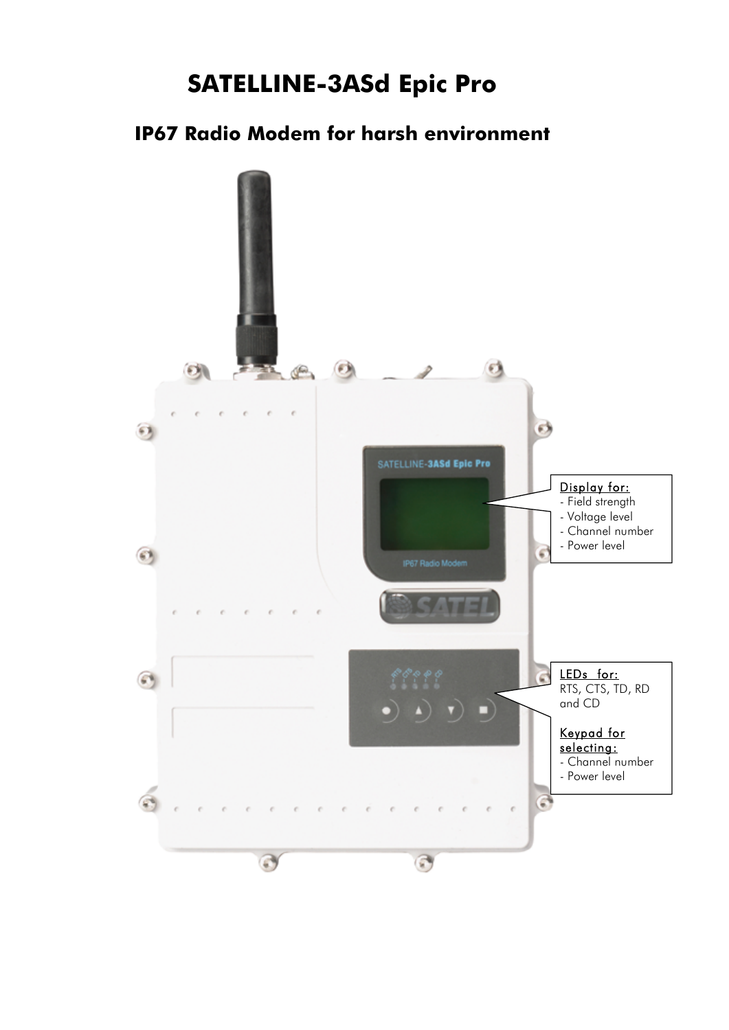# **SATELLINE-3ASd Epic Pro**

## **IP67 Radio Modem for harsh environment**

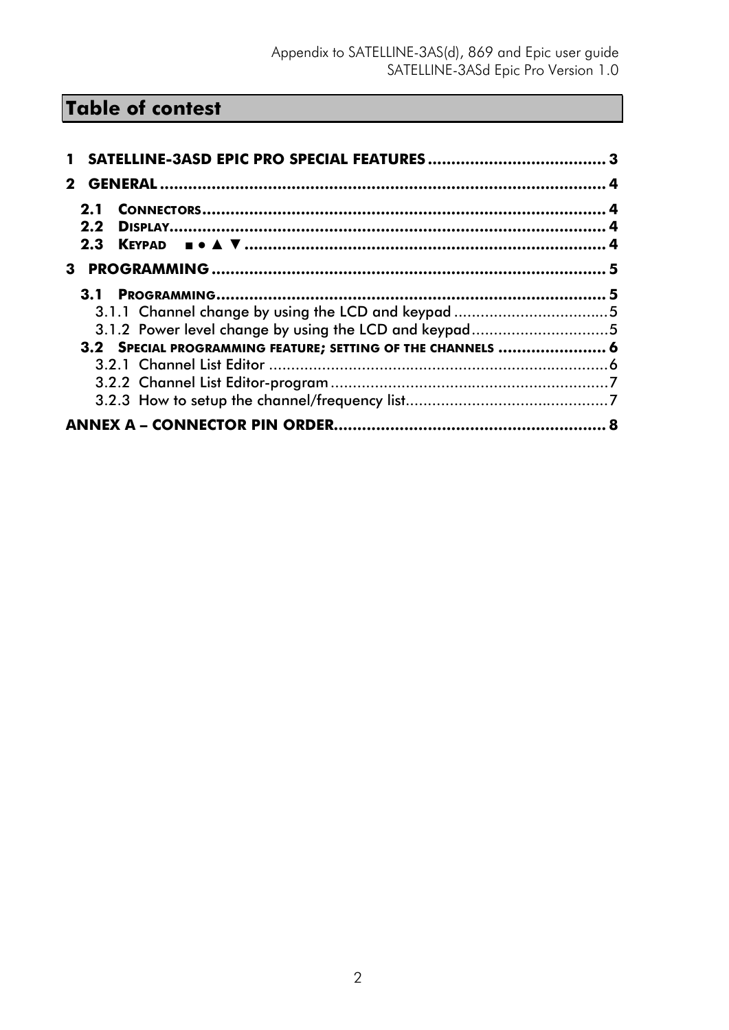# **Table of contest**

| $\mathbf 2$                                                 |  |
|-------------------------------------------------------------|--|
| 2.1                                                         |  |
| $2.2^{\circ}$                                               |  |
|                                                             |  |
|                                                             |  |
|                                                             |  |
| 3.1.1 Channel change by using the LCD and keypad 5          |  |
| 3.1.2 Power level change by using the LCD and keypad5       |  |
| 3.2 SPECIAL PROGRAMMING FEATURE; SETTING OF THE CHANNELS  6 |  |
|                                                             |  |
|                                                             |  |
|                                                             |  |
|                                                             |  |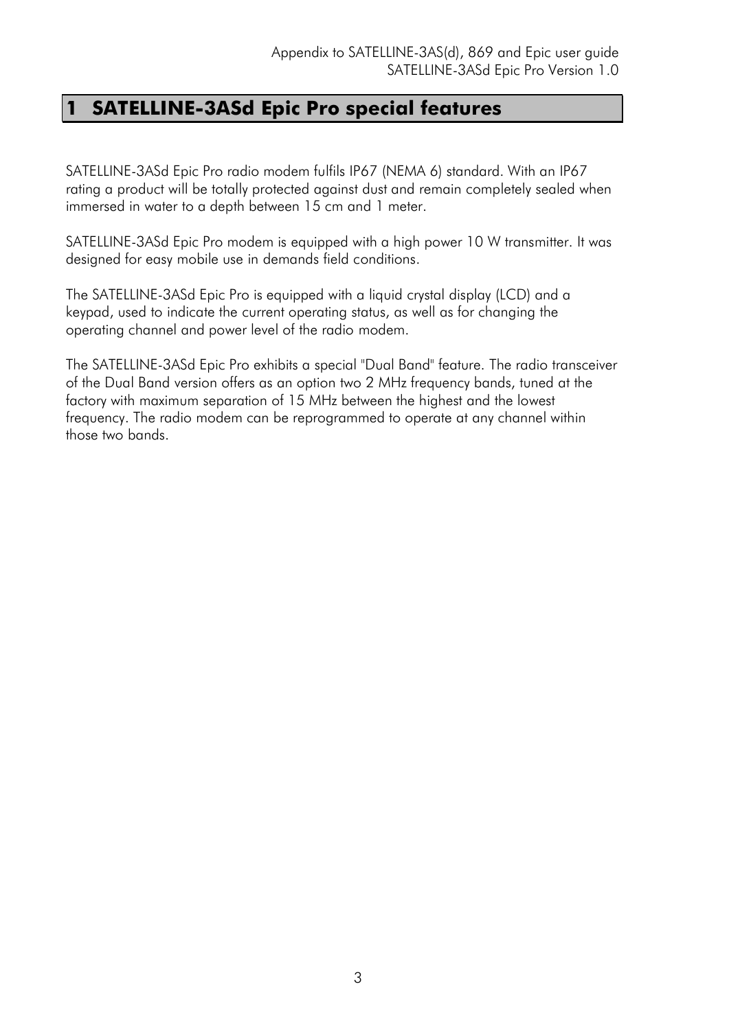## **1 SATELLINE-3ASd Epic Pro special features**

SATELLINE-3ASd Epic Pro radio modem fulfils IP67 (NEMA 6) standard. With an IP67 rating a product will be totally protected against dust and remain completely sealed when immersed in water to a depth between 15 cm and 1 meter.

SATELLINE-3ASd Epic Pro modem is equipped with a high power 10 W transmitter. It was designed for easy mobile use in demands field conditions.

The SATELLINE-3ASd Epic Pro is equipped with a liquid crystal display (LCD) and a keypad, used to indicate the current operating status, as well as for changing the operating channel and power level of the radio modem.

The SATELLINE-3ASd Epic Pro exhibits a special "Dual Band" feature. The radio transceiver of the Dual Band version offers as an option two 2 MHz frequency bands, tuned at the factory with maximum separation of 15 MHz between the highest and the lowest frequency. The radio modem can be reprogrammed to operate at any channel within those two bands.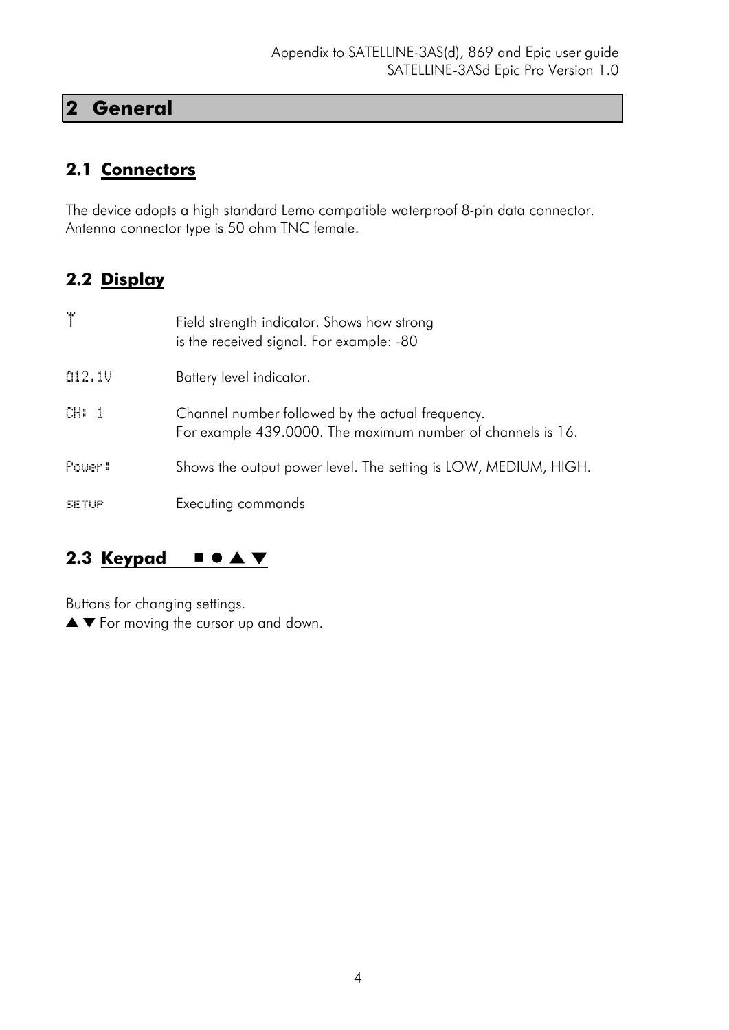### **2 General**

### **2.1 Connectors**

The device adopts a high standard Lemo compatible waterproof 8-pin data connector. Antenna connector type is 50 ohm TNC female.

### **2.2 Display**

| Τ      | Field strength indicator. Shows how strong<br>is the received signal. For example: -80                          |
|--------|-----------------------------------------------------------------------------------------------------------------|
| 012.10 | Battery level indicator.                                                                                        |
| CH: 1  | Channel number followed by the actual frequency.<br>For example 439,0000. The maximum number of channels is 16. |
| Power: | Shows the output power level. The setting is LOW, MEDIUM, HIGH.                                                 |
| SETUP  | Executing commands                                                                                              |

### **2.3 Keypad** ■ ● ▲ ▼

Buttons for changing settings.

▲ ▼ For moving the cursor up and down.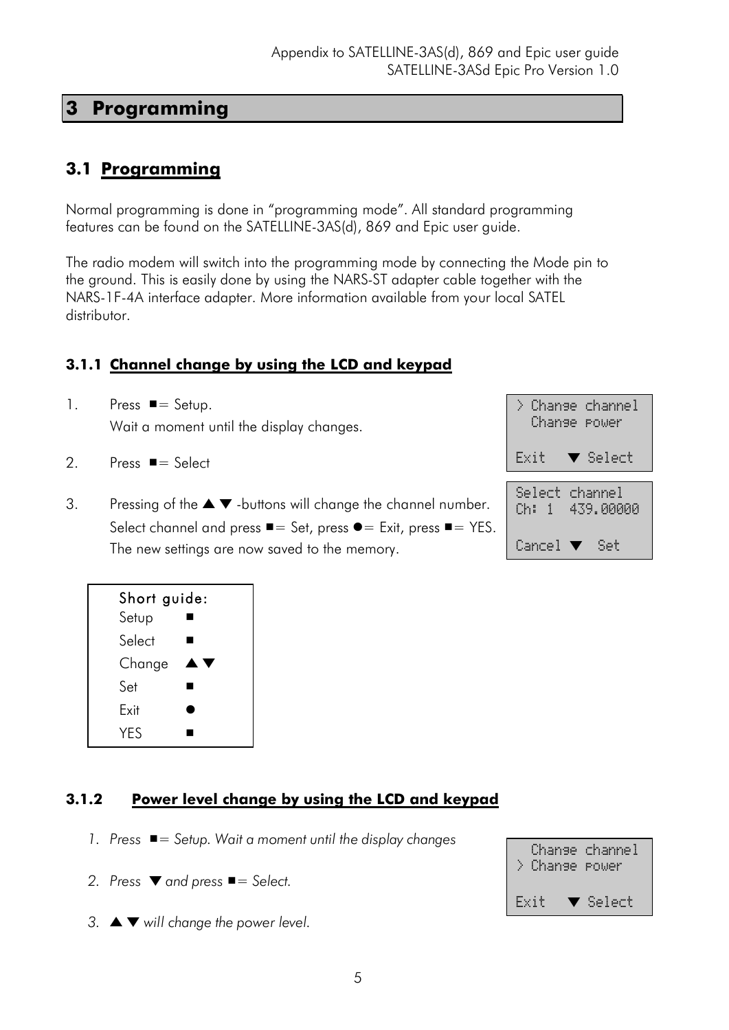### **3 Programming**

### **3.1 Programming**

Normal programming is done in "programming mode". All standard programming features can be found on the SATELLINE-3AS(d), 869 and Epic user guide.

The radio modem will switch into the programming mode by connecting the Mode pin to the ground. This is easily done by using the NARS-ST adapter cable together with the NARS-1F-4A interface adapter. More information available from your local SATEL distributor.

### **3.1.1 Channel change by using the LCD and keypad**

- 1. Press  $\blacksquare =$  Setup. Wait a moment until the display changes.
- 2. Press ■= Select
- 3. Pressing of the  $\blacktriangle \blacktriangledown$  -buttons will change the channel number. Select channel and press  $\blacksquare =$  Set, press  $\blacksquare =$  Exit, press  $\blacksquare =$  YES. The new settings are now saved to the memory.



| Short guide: |  |
|--------------|--|
| Setup        |  |
| Select       |  |
| Change       |  |
| Set          |  |
| Exit         |  |
| <b>YFS</b>   |  |

### **3.1.2 Power level change by using the LCD and keypad**

- *1. Press* ■*= Setup. Wait a moment until the display changes*
- *2. Press* ▼ *and press* ■*= Select.*
- *3.* ▲ ▼ *will change the power level.*

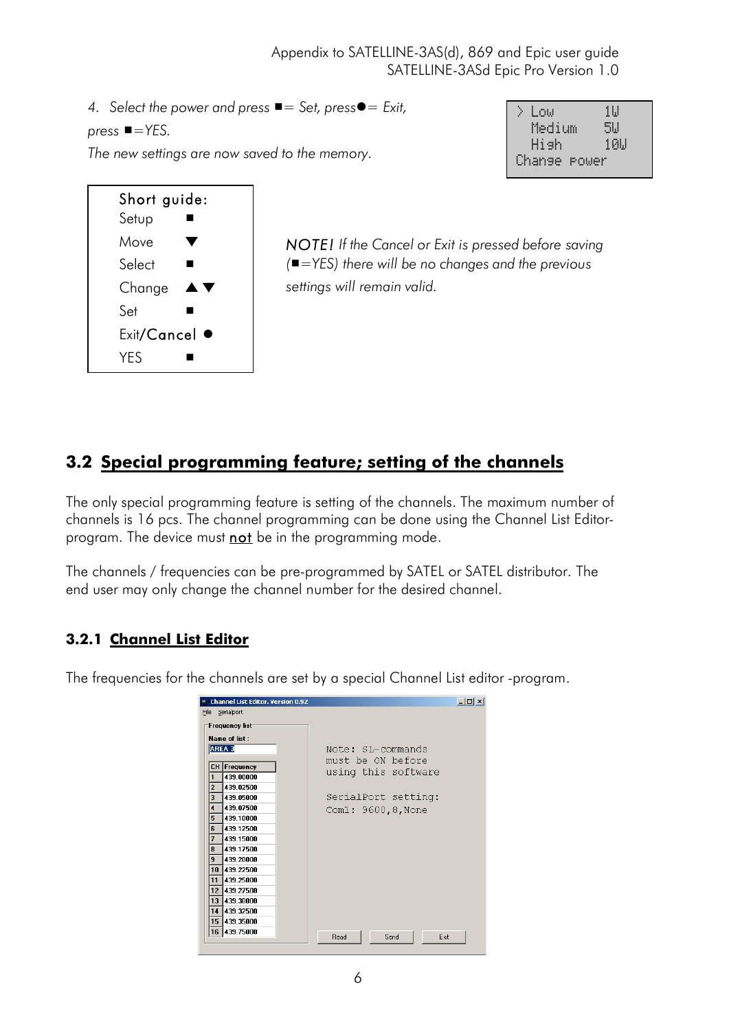*4. Select the power and press* ■*= Set, press*●*= Exit,* 

*press* ■*=YES.*

*The new settings are now saved to the memory.*

| Short guide: |           |
|--------------|-----------|
| Setup        |           |
| Move         |           |
| Select       |           |
| Change       | AN        |
| Set          |           |
| Exit/Cancel  | $\bullet$ |
| <b>YES</b>   |           |

| $\mathcal{N}$<br>-Low | 11.1  |
|-----------------------|-------|
| Medium                | 51.1  |
| Hish                  | 101.1 |
| Change power          |       |

 $\overline{\phantom{a}}$ 

*NOTE! If the Cancel or Exit is pressed before saving (*■*=YES) there will be no changes and the previous settings will remain valid.*

### **3.2 Special programming feature; setting of the channels**

The only special programming feature is setting of the channels. The maximum number of channels is 16 pcs. The channel programming can be done using the Channel List Editorprogram. The device must not be in the programming mode.

The channels / frequencies can be pre-programmed by SATEL or SATEL distributor. The end user may only change the channel number for the desired channel.

### **3.2.1 Channel List Editor**

The frequencies for the channels are set by a special Channel List editor -program.

|                         | <b>Channel List Editor. Version 0.92</b> |                      | $   \times$ $-$ |
|-------------------------|------------------------------------------|----------------------|-----------------|
|                         | File Serialport                          |                      |                 |
|                         | Frequency list                           |                      |                 |
|                         | Name of list:                            |                      |                 |
|                         | AREA 3                                   | Note: SL-commands    |                 |
|                         | CH Frequency                             | must be ON before    |                 |
| $\mathbf{1}$            | 439.00000                                | using this software  |                 |
| $\overline{2}$          | 439.02500                                |                      |                 |
| 3                       | 439.05000                                | SerialPort setting:  |                 |
| $\overline{\mathbf{4}}$ | 439.07500                                | Com1: 9600,8, None   |                 |
| 5                       | 439.10000                                |                      |                 |
| 6                       | 439.12500                                |                      |                 |
| $\overline{\mathbf{z}}$ | 439.15000                                |                      |                 |
| 8                       | 439.17500                                |                      |                 |
| 9                       | 439.20000                                |                      |                 |
| 10<br>11                | 439.22500<br>439,25000                   |                      |                 |
| 12                      | 439.27500                                |                      |                 |
|                         | 13 439.30000                             |                      |                 |
|                         | 14 439 32500                             |                      |                 |
|                         | 15 439.35000                             |                      |                 |
|                         | 16 439.75000                             |                      |                 |
|                         |                                          | Read<br>Send<br>Exit |                 |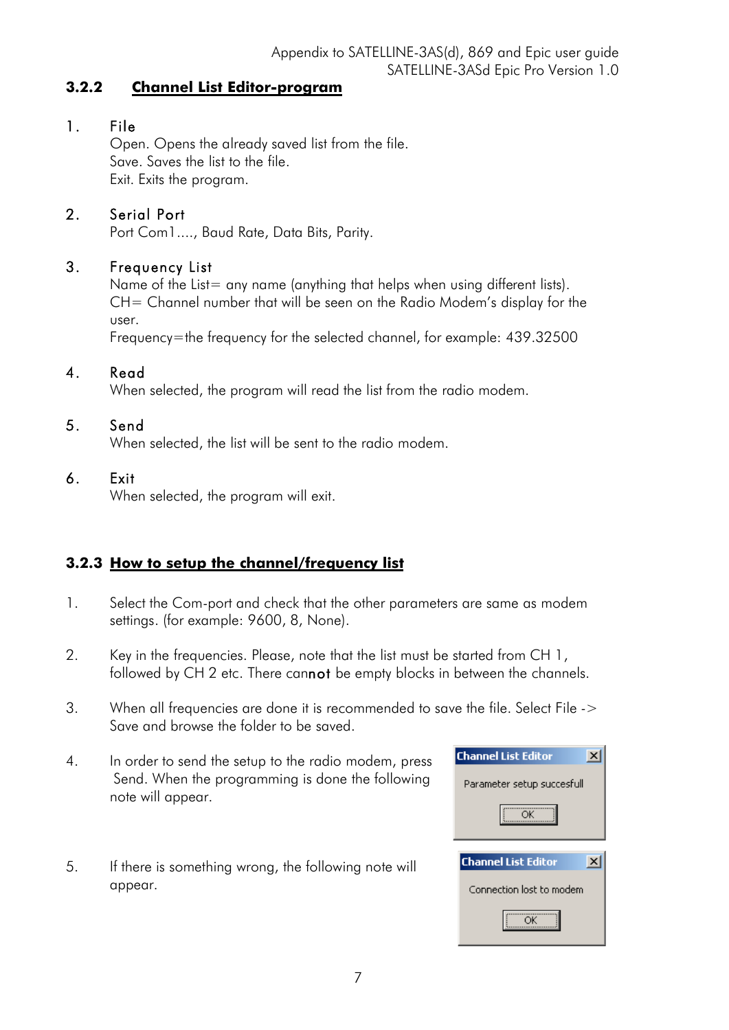#### **3.2.2 Channel List Editor-program**

### 1. File

Open. Opens the already saved list from the file. Save. Saves the list to the file. Exit. Exits the program.

### 2. Serial Port

Port Com1...., Baud Rate, Data Bits, Parity.

#### 3. Frequency List

Name of the List= any name (anything that helps when using different lists). CH= Channel number that will be seen on the Radio Modem's display for the user.

Frequency=the frequency for the selected channel, for example: 439.32500

#### 4. Read

When selected, the program will read the list from the radio modem.

### 5. Send

When selected, the list will be sent to the radio modem.

#### 6. Exit

When selected, the program will exit.

### **3.2.3 How to setup the channel/frequency list**

- 1. Select the Com-port and check that the other parameters are same as modem settings. (for example: 9600, 8, None).
- 2. Key in the frequencies. Please, note that the list must be started from CH 1, followed by CH 2 etc. There cannot be empty blocks in between the channels.
- 3. When all frequencies are done it is recommended to save the file. Select File -> Save and browse the folder to be saved.
- 4. In order to send the setup to the radio modem, press Send. When the programming is done the following note will appear.
- 5. If there is something wrong, the following note will appear.

| <b>Channel List Editor</b> |
|----------------------------|
| Parameter setup succesfull |
| ΩK                         |
|                            |
| <b>Channel List Editor</b> |
| Connection lost to modem   |